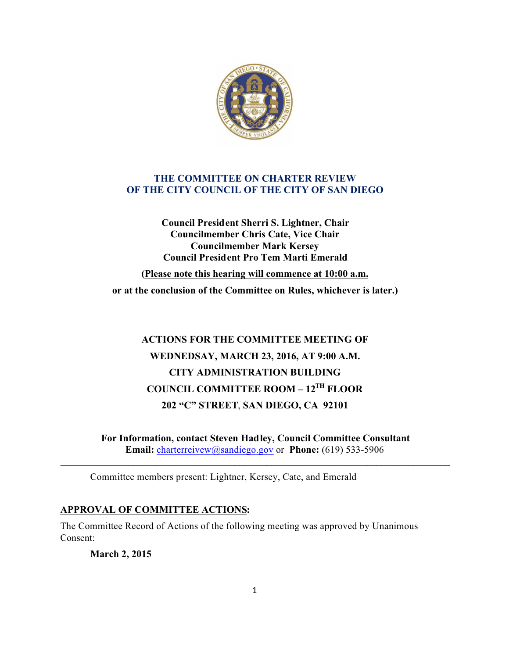

## **THE COMMITTEE ON CHARTER REVIEW OF THE CITY COUNCIL OF THE CITY OF SAN DIEGO**

**Council President Sherri S. Lightner, Chair Councilmember Chris Cate, Vice Chair Councilmember Mark Kersey Council President Pro Tem Marti Emerald**

**(Please note this hearing will commence at 10:00 a.m. or at the conclusion of the Committee on Rules, whichever is later.)**

# **ACTIONS FOR THE COMMITTEE MEETING OF WEDNEDSAY, MARCH 23, 2016, AT 9:00 A.M. CITY ADMINISTRATION BUILDING COUNCIL COMMITTEE ROOM – 12TH FLOOR 202 "C" STREET**, **SAN DIEGO, CA 92101**

**For Information, contact Steven Hadley, Council Committee Consultant Email:** charterreivew@sandiego.gov or **Phone:** (619) 533-5906

**\_\_\_\_\_\_\_\_\_\_\_\_\_\_\_\_\_\_\_\_\_\_\_\_\_\_\_\_\_\_\_\_\_\_\_\_\_\_\_\_\_\_\_\_\_\_\_\_\_\_\_\_\_\_\_\_\_\_\_\_\_\_\_\_\_\_\_\_\_\_\_\_\_\_\_\_\_\_\_\_\_\_\_\_\_**

Committee members present: Lightner, Kersey, Cate, and Emerald

## **APPROVAL OF COMMITTEE ACTIONS:**

The Committee Record of Actions of the following meeting was approved by Unanimous Consent:

**March 2, 2015**